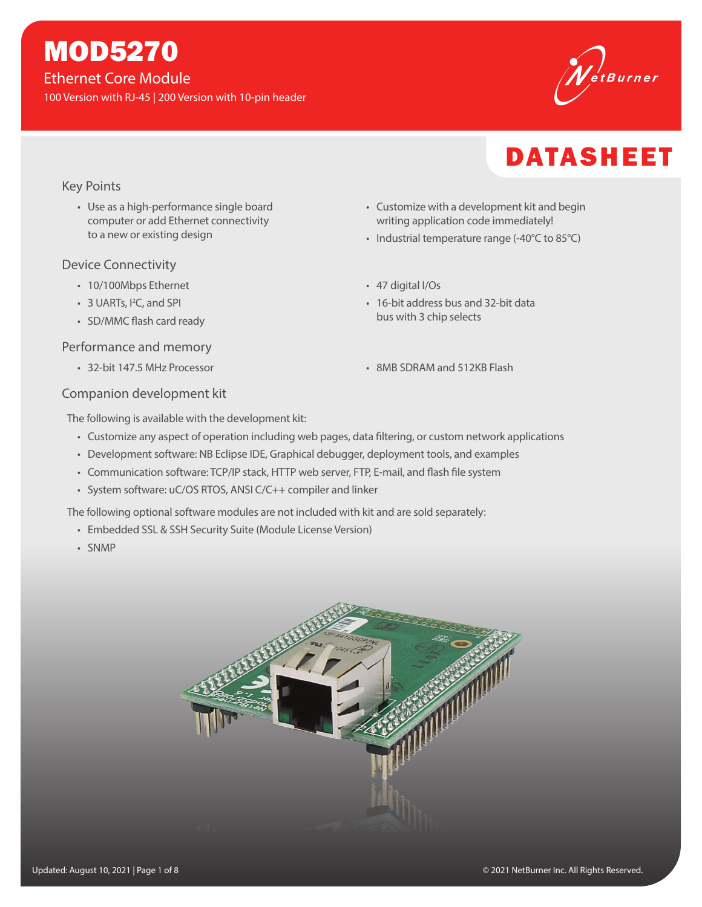# MOD5270

## Ethernet Core Module

100 Version with RJ-45 | 200 Version with 10-pin header



# DATASHEET

• Customize with a development kit and begin writing application code immediately! • Industrial temperature range (-40°C to 85°C)

• 16-bit address bus and 32-bit data

bus with 3 chip selects

• 47 digital I/Os

### Key Points

• Use as a high-performance single board computer or add Ethernet connectivity to a new or existing design

### Device Connectivity

- 10/100Mbps Ethernet
- 3 UARTs, I<sup>2</sup>C, and SPI
- SD/MMC flash card ready

### Performance and memory

• 32-bit 147.5 MHz Processor • 8MB SDRAM and 512KB Flash

## Companion development kit

The following is available with the development kit:

- Customize any aspect of operation including web pages, data filtering, or custom network applications
- Development software: NB Eclipse IDE, Graphical debugger, deployment tools, and examples
- Communication software: TCP/IP stack, HTTP web server, FTP, E-mail, and flash file system
- System software: uC/OS RTOS, ANSI C/C++ compiler and linker

The following optional software modules are not included with kit and are sold separately:

- Embedded SSL & SSH Security Suite (Module License Version)
- SNMP

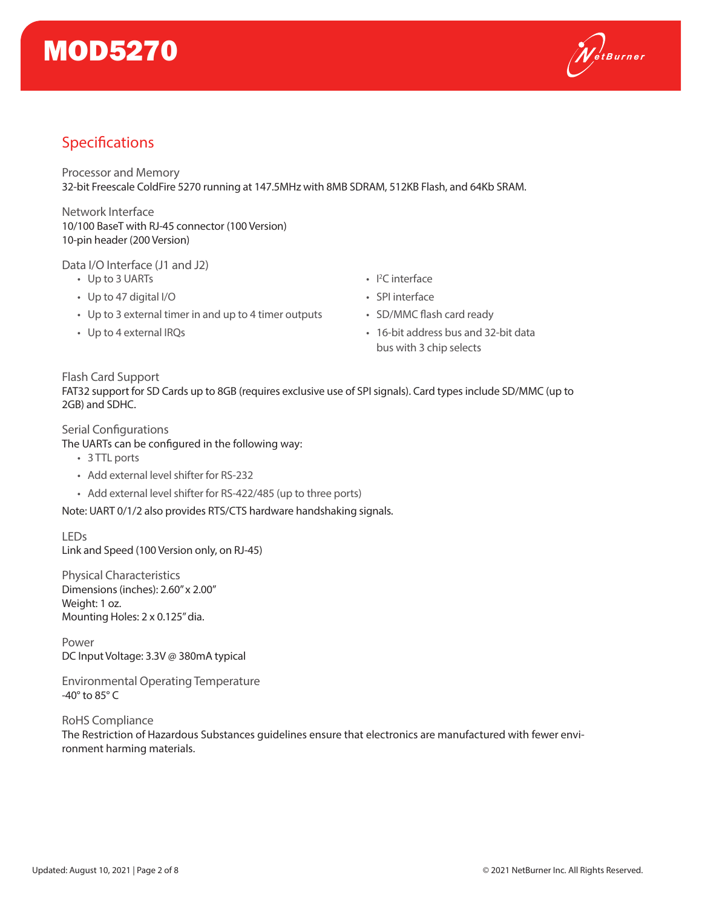



## **Specifications**

Processor and Memory 32-bit Freescale ColdFire 5270 running at 147.5MHz with 8MB SDRAM, 512KB Flash, and 64Kb SRAM.

Network Interface 10/100 BaseT with RJ-45 connector (100 Version) 10-pin header (200 Version)

Data I/O Interface (J1 and J2)

- Up to 3 UARTs
- Up to 47 digital I/O
- Up to 3 external timer in and up to 4 timer outputs
- Up to 4 external IRQs
- I 2 C interface
- SPI interface
- SD/MMC flash card ready
- 16-bit address bus and 32-bit data bus with 3 chip selects

#### Flash Card Support

FAT32 support for SD Cards up to 8GB (requires exclusive use of SPI signals). Card types include SD/MMC (up to 2GB) and SDHC.

#### Serial Configurations

The UARTs can be configured in the following way:

- 3 TTL ports
- Add external level shifter for RS-232
- Add external level shifter for RS-422/485 (up to three ports)

Note: UART 0/1/2 also provides RTS/CTS hardware handshaking signals.

LEDs Link and Speed (100 Version only, on RJ-45)

Physical Characteristics Dimensions (inches): 2.60" x 2.00" Weight: 1 oz. Mounting Holes: 2 x 0.125" dia.

Power DC Input Voltage: 3.3V @ 380mA typical

Environmental Operating Temperature -40° to 85° C

RoHS Compliance The Restriction of Hazardous Substances guidelines ensure that electronics are manufactured with fewer environment harming materials.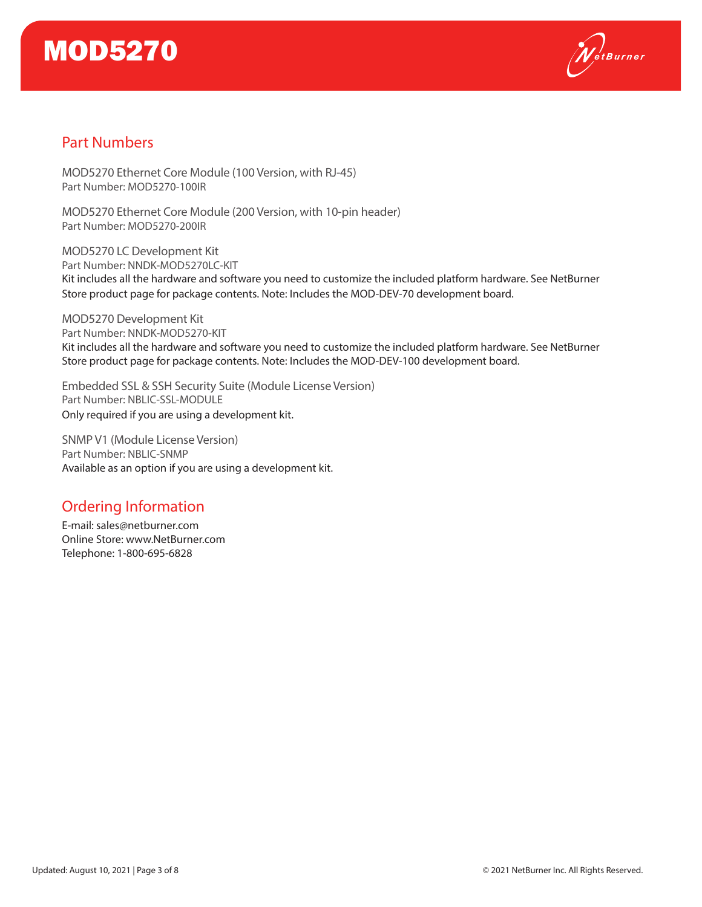



### Part Numbers

MOD5270 Ethernet Core Module (100 Version, with RJ-45) Part Number: MOD5270-100IR

MOD5270 Ethernet Core Module (200 Version, with 10-pin header) Part Number: MOD5270-200IR

MOD5270 LC Development Kit Part Number: NNDK-MOD5270LC-KIT Kit includes all the hardware and software you need to customize the included platform hardware. See NetBurner Store product page for package contents. Note: Includes the MOD-DEV-70 development board.

MOD5270 Development Kit Part Number: NNDK-MOD5270-KIT Kit includes all the hardware and software you need to customize the included platform hardware. See NetBurner Store product page for package contents. Note: Includes the MOD-DEV-100 development board.

Embedded SSL & SSH Security Suite (Module License Version) Part Number: NBLIC-SSL-MODULE Only required if you are using a development kit.

SNMP V1 (Module License Version) Part Number: NBLIC-SNMP Available as an option if you are using a development kit.

## Ordering Information

E-mail: sales@netburner.com Online Store: www.NetBurner.com Telephone: 1-800-695-6828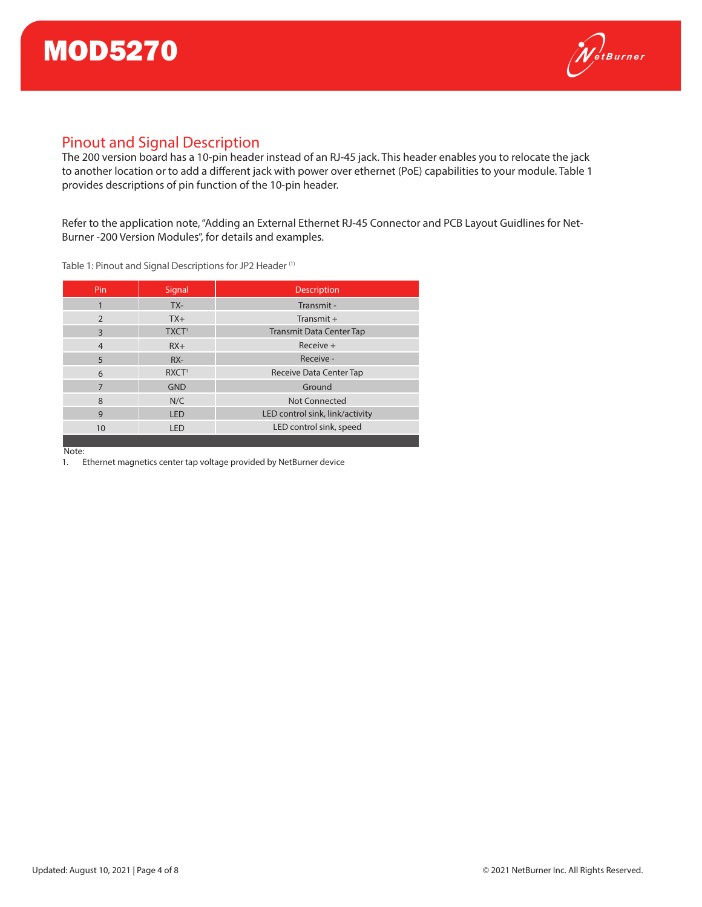

## Pinout and Signal Description

The 200 version board has a 10-pin header instead of an RJ-45 jack. This header enables you to relocate the jack to another location or to add a different jack with power over ethernet (PoE) capabilities to your module. Table 1 provides descriptions of pin function of the 10-pin header.

Refer to the application note, "Adding an External Ethernet RJ-45 Connector and PCB Layout Guidlines for Net-Burner -200 Version Modules", for details and examples.

Table 1: Pinout and Signal Descriptions for JP2 Header (1)

| Pin.           | Signal                   | <b>Description</b>              |
|----------------|--------------------------|---------------------------------|
|                | $TX -$                   | Transmit -                      |
| $\mathcal{P}$  | $TX+$                    | Transmit $+$                    |
| 3              | <b>TXCT</b> <sup>1</sup> | <b>Transmit Data Center Tap</b> |
| $\overline{4}$ | $RX+$                    | Receive +                       |
| 5              | $RX -$                   | Receive -                       |
| 6              | RXCT <sup>1</sup>        | Receive Data Center Tap         |
| $\overline{7}$ | <b>GND</b>               | Ground                          |
| 8              | N/C                      | Not Connected                   |
| 9              | <b>LED</b>               | LED control sink, link/activity |
| 10             | <b>LED</b>               | LED control sink, speed         |
|                |                          |                                 |

Note:

1. Ethernet magnetics center tap voltage provided by NetBurner device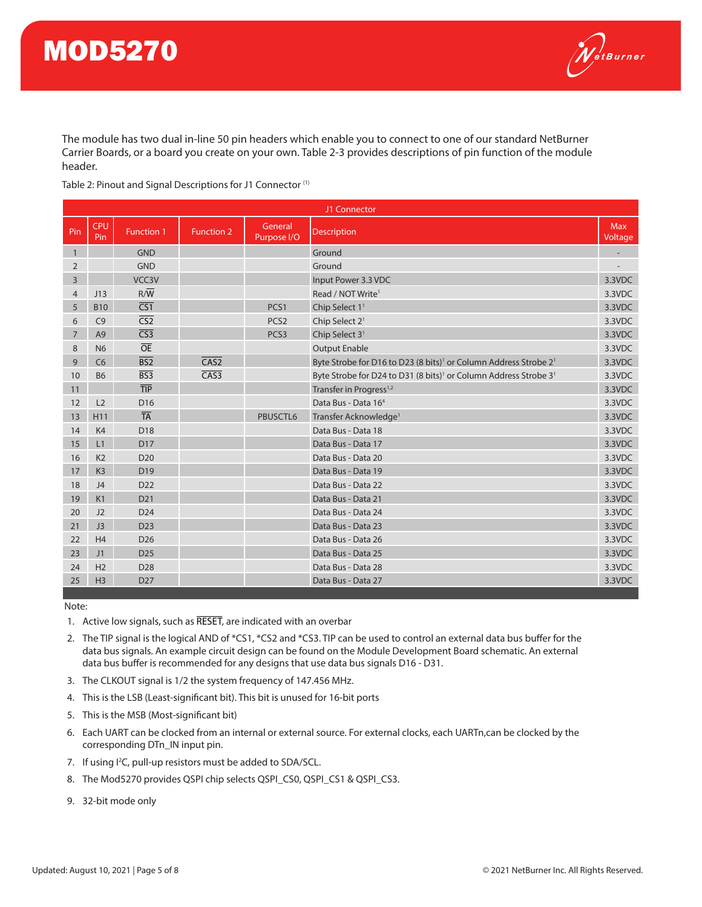

The module has two dual in-line 50 pin headers which enable you to connect to one of our standard NetBurner Carrier Boards, or a board you create on your own. Table 2-3 provides descriptions of pin function of the module header.

Table 2: Pinout and Signal Descriptions for J1 Connector (1)

|                | J1 Connector   |                        |                   |                        |                                                                                          |                       |  |  |
|----------------|----------------|------------------------|-------------------|------------------------|------------------------------------------------------------------------------------------|-----------------------|--|--|
| Pin            | CPU<br>Pin     | <b>Function 1</b>      | <b>Function 2</b> | General<br>Purpose I/O | <b>Description</b>                                                                       | <b>Max</b><br>Voltage |  |  |
| 1              |                | <b>GND</b>             |                   |                        | Ground                                                                                   |                       |  |  |
| 2              |                | <b>GND</b>             |                   |                        | Ground                                                                                   |                       |  |  |
| 3              |                | VCC <sub>3</sub> V     |                   |                        | Input Power 3.3 VDC                                                                      | 3.3VDC                |  |  |
| $\overline{4}$ | J13            | $R/\overline{W}$       |                   |                        | Read / NOT Write <sup>1</sup>                                                            | 3.3VDC                |  |  |
| 5              | <b>B10</b>     | $\overline{CS1}$       |                   | PCS1                   | Chip Select 1 <sup>1</sup>                                                               | 3.3VDC                |  |  |
| 6              | C9             | $\overline{CS2}$       |                   | PCS <sub>2</sub>       | Chip Select 2 <sup>1</sup>                                                               | 3.3VDC                |  |  |
| 7              | A <sub>9</sub> | $\overline{CS3}$       |                   | PCS <sub>3</sub>       | Chip Select 3 <sup>1</sup>                                                               | 3.3VDC                |  |  |
| 8              | N <sub>6</sub> | $\overline{OE}$        |                   |                        | <b>Output Enable</b>                                                                     | 3.3VDC                |  |  |
| 9              | C6             | $\overline{BS2}$       | $\overline{CAS2}$ |                        | Byte Strobe for D16 to D23 (8 bits) <sup>1</sup> or Column Address Strobe 2 <sup>1</sup> | 3.3VDC                |  |  |
| 10             | <b>B6</b>      | $\overline{BS3}$       | CAS3              |                        | Byte Strobe for D24 to D31 (8 bits) <sup>1</sup> or Column Address Strobe 3 <sup>1</sup> | 3.3VDC                |  |  |
| 11             |                | $\overline{TIP}$       |                   |                        | Transfer in Progress <sup>1,2</sup>                                                      | 3.3VDC                |  |  |
| 12             | L2             | D <sub>16</sub>        |                   |                        | Data Bus - Data 16 <sup>4</sup>                                                          | 3.3VDC                |  |  |
| 13             | H11            | $\overline{\text{TA}}$ |                   | PBUSCTL6               | Transfer Acknowledge <sup>1</sup>                                                        | 3.3VDC                |  |  |
| 14             | K <sub>4</sub> | D <sub>18</sub>        |                   |                        | Data Bus - Data 18                                                                       | 3.3VDC                |  |  |
| 15             | L1             | D17                    |                   |                        | Data Bus - Data 17                                                                       | 3.3VDC                |  |  |
| 16             | K <sub>2</sub> | D <sub>20</sub>        |                   |                        | Data Bus - Data 20                                                                       | 3.3VDC                |  |  |
| 17             | K <sub>3</sub> | D <sub>19</sub>        |                   |                        | Data Bus - Data 19                                                                       | 3.3VDC                |  |  |
| 18             | J <sub>4</sub> | D <sub>22</sub>        |                   |                        | Data Bus - Data 22                                                                       | 3.3VDC                |  |  |
| 19             | K1             | D <sub>21</sub>        |                   |                        | Data Bus - Data 21                                                                       | 3.3VDC                |  |  |
| 20             | J2             | D <sub>24</sub>        |                   |                        | Data Bus - Data 24                                                                       | 3.3VDC                |  |  |
| 21             | J3             | D <sub>23</sub>        |                   |                        | Data Bus - Data 23                                                                       | 3.3VDC                |  |  |
| 22             | H4             | D <sub>26</sub>        |                   |                        | Data Bus - Data 26                                                                       | 3.3VDC                |  |  |
| 23             | J1             | D <sub>25</sub>        |                   |                        | Data Bus - Data 25                                                                       | 3.3VDC                |  |  |
| 24             | H <sub>2</sub> | D <sub>28</sub>        |                   |                        | Data Bus - Data 28                                                                       | 3.3VDC                |  |  |
| 25             | H <sub>3</sub> | D <sub>27</sub>        |                   |                        | Data Bus - Data 27                                                                       | 3.3VDC                |  |  |

Note:

- 1. Active low signals, such as RESET, are indicated with an overbar
- 2. The TIP signal is the logical AND of \*CS1, \*CS2 and \*CS3. TIP can be used to control an external data bus buffer for the data bus signals. An example circuit design can be found on the Module Development Board schematic. An external data bus buffer is recommended for any designs that use data bus signals D16 - D31.
- 3. The CLKOUT signal is 1/2 the system frequency of 147.456 MHz.
- 4. This is the LSB (Least-significant bit). This bit is unused for 16-bit ports
- 5. This is the MSB (Most-significant bit)
- 6. Each UART can be clocked from an internal or external source. For external clocks, each UARTn,can be clocked by the corresponding DTn\_IN input pin.
- 7. If using <sup>2</sup>C, pull-up resistors must be added to SDA/SCL.
- 8. The Mod5270 provides QSPI chip selects QSPI\_CS0, QSPI\_CS1 & QSPI\_CS3.
- 9. 32-bit mode only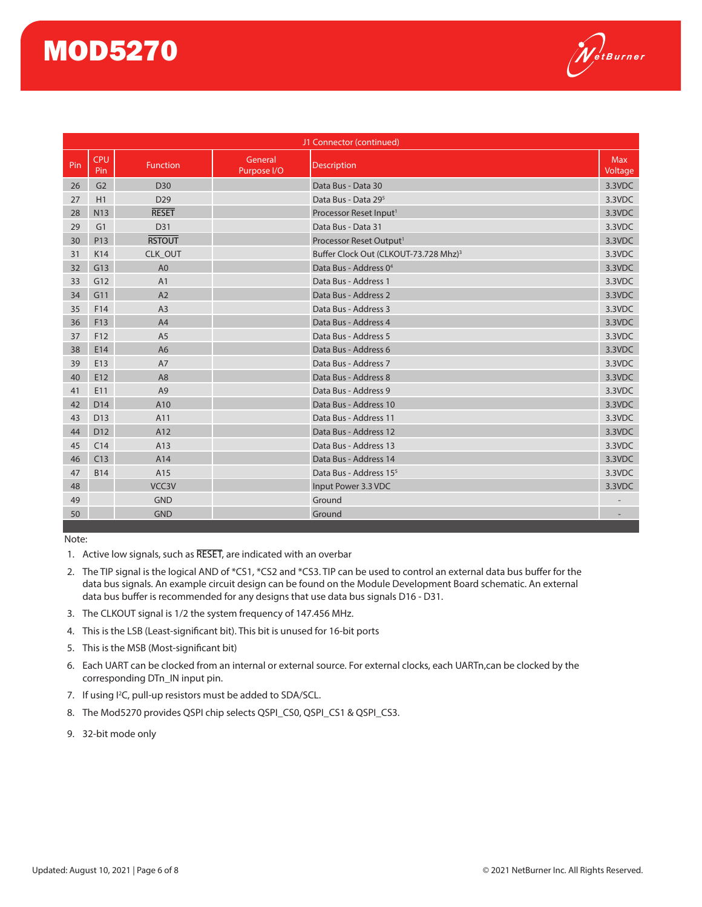## MOD5270



| J1 Connector (continued) |                   |                    |                        |                                                   |                       |  |  |
|--------------------------|-------------------|--------------------|------------------------|---------------------------------------------------|-----------------------|--|--|
| Pin                      | <b>CPU</b><br>Pin | <b>Function</b>    | General<br>Purpose I/O | <b>Description</b>                                | <b>Max</b><br>Voltage |  |  |
| 26                       | G <sub>2</sub>    | D30                |                        | Data Bus - Data 30                                | 3.3VDC                |  |  |
| 27                       | H1                | D <sub>29</sub>    |                        | Data Bus - Data 29 <sup>5</sup>                   | 3.3VDC                |  |  |
| 28                       | <b>N13</b>        | <b>RESET</b>       |                        | Processor Reset Input <sup>1</sup>                | 3.3VDC                |  |  |
| 29                       | G1                | D31                |                        | Data Bus - Data 31                                | 3.3VDC                |  |  |
| 30                       | P <sub>13</sub>   | <b>RSTOUT</b>      |                        | Processor Reset Output <sup>1</sup>               | 3.3VDC                |  |  |
| 31                       | K14               | CLK OUT            |                        | Buffer Clock Out (CLKOUT-73.728 Mhz) <sup>3</sup> | 3.3VDC                |  |  |
| 32                       | G13               | A <sub>0</sub>     |                        | Data Bus - Address 0 <sup>4</sup>                 | 3.3VDC                |  |  |
| 33                       | G12               | A <sub>1</sub>     |                        | Data Bus - Address 1                              | 3.3VDC                |  |  |
| 34                       | G11               | A2                 |                        | Data Bus - Address 2                              | 3.3VDC                |  |  |
| 35                       | F14               | A <sub>3</sub>     |                        | Data Bus - Address 3                              | 3.3VDC                |  |  |
| 36                       | F13               | A <sup>4</sup>     |                        | Data Bus - Address 4                              | 3.3VDC                |  |  |
| 37                       | F <sub>12</sub>   | A <sub>5</sub>     |                        | Data Bus - Address 5                              | 3.3VDC                |  |  |
| 38                       | E14               | A6                 |                        | Data Bus - Address 6                              | 3.3VDC                |  |  |
| 39                       | E13               | A7                 |                        | Data Bus - Address 7                              | 3.3VDC                |  |  |
| 40                       | E12               | A <sub>8</sub>     |                        | Data Bus - Address 8                              | 3.3VDC                |  |  |
| 41                       | E11               | A <sub>9</sub>     |                        | Data Bus - Address 9                              | 3.3VDC                |  |  |
| 42                       | D <sub>14</sub>   | A10                |                        | Data Bus - Address 10                             | 3.3VDC                |  |  |
| 43                       | D <sub>13</sub>   | A11                |                        | Data Bus - Address 11                             | 3.3VDC                |  |  |
| 44                       | D <sub>12</sub>   | A12                |                        | Data Bus - Address 12                             | 3.3VDC                |  |  |
| 45                       | C14               | A13                |                        | Data Bus - Address 13                             | 3.3VDC                |  |  |
| 46                       | C13               | A14                |                        | Data Bus - Address 14                             | 3.3VDC                |  |  |
| 47                       | <b>B14</b>        | A15                |                        | Data Bus - Address 15 <sup>5</sup>                | 3.3VDC                |  |  |
| 48                       |                   | VCC <sub>3</sub> V |                        | Input Power 3.3 VDC                               | 3.3VDC                |  |  |
| 49                       |                   | <b>GND</b>         |                        | Ground                                            | $\overline{a}$        |  |  |
| 50                       |                   | <b>GND</b>         |                        | Ground                                            | ۰                     |  |  |

Note:

- 1. Active low signals, such as RESET, are indicated with an overbar
- 2. The TIP signal is the logical AND of \*CS1, \*CS2 and \*CS3. TIP can be used to control an external data bus buffer for the data bus signals. An example circuit design can be found on the Module Development Board schematic. An external data bus buffer is recommended for any designs that use data bus signals D16 - D31.
- 3. The CLKOUT signal is 1/2 the system frequency of 147.456 MHz.
- 4. This is the LSB (Least-significant bit). This bit is unused for 16-bit ports
- 5. This is the MSB (Most-significant bit)
- 6. Each UART can be clocked from an internal or external source. For external clocks, each UARTn,can be clocked by the corresponding DTn\_IN input pin.
- 7. If using <sup>2</sup>C, pull-up resistors must be added to SDA/SCL.
- 8. The Mod5270 provides QSPI chip selects QSPI\_CS0, QSPI\_CS1 & QSPI\_CS3.
- 9. 32-bit mode only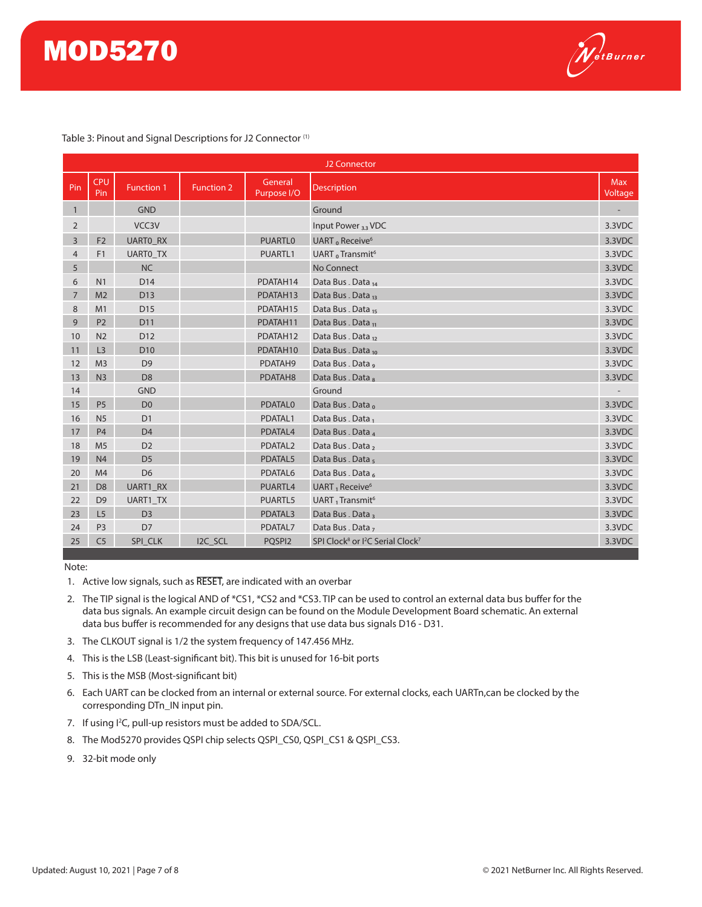

#### Table 3: Pinout and Signal Descriptions for J2 Connector (1)

|                | J2 Connector   |                   |                   |                        |                                                                    |                          |  |  |
|----------------|----------------|-------------------|-------------------|------------------------|--------------------------------------------------------------------|--------------------------|--|--|
| Pin            | CPU<br>Pin     | <b>Function 1</b> | <b>Function 2</b> | General<br>Purpose I/O | <b>Description</b>                                                 | <b>Max</b><br>Voltage    |  |  |
| 1              |                | <b>GND</b>        |                   |                        | Ground                                                             | $\overline{\phantom{a}}$ |  |  |
| 2              |                | VCC3V             |                   |                        | Input Power 33 VDC                                                 | 3.3VDC                   |  |  |
| 3              | F <sub>2</sub> | <b>UARTO RX</b>   |                   | <b>PUARTLO</b>         | UART <sub>o</sub> Receive <sup>6</sup>                             | 3.3VDC                   |  |  |
| $\overline{4}$ | F1             | <b>UARTO TX</b>   |                   | PUARTL1                | UART <sub>o</sub> Transmit <sup>6</sup>                            | 3.3VDC                   |  |  |
| 5              |                | <b>NC</b>         |                   |                        | No Connect                                                         | 3.3VDC                   |  |  |
| 6              | N <sub>1</sub> | D <sub>14</sub>   |                   | PDATAH14               | Data Bus . Data 14                                                 | 3.3VDC                   |  |  |
| $\overline{7}$ | M <sub>2</sub> | D <sub>13</sub>   |                   | PDATAH13               | Data Bus . Data 13                                                 | 3.3VDC                   |  |  |
| 8              | M1             | D <sub>15</sub>   |                   | PDATAH15               | Data Bus . Data 15                                                 | 3.3VDC                   |  |  |
| 9              | P <sub>2</sub> | D11               |                   | PDATAH11               | Data Bus . Data <sub>11</sub>                                      | 3.3VDC                   |  |  |
| 10             | N <sub>2</sub> | D <sub>12</sub>   |                   | PDATAH12               | Data Bus . Data 12                                                 | 3.3VDC                   |  |  |
| 11             | L <sub>3</sub> | D <sub>10</sub>   |                   | PDATAH10               | Data Bus . Data 10                                                 | 3.3VDC                   |  |  |
| 12             | M <sub>3</sub> | D <sub>9</sub>    |                   | PDATAH9                | Data Bus . Data .                                                  | 3.3VDC                   |  |  |
| 13             | N <sub>3</sub> | D <sub>8</sub>    |                   | PDATAH8                | Data Bus . Data &                                                  | 3.3VDC                   |  |  |
| 14             |                | <b>GND</b>        |                   |                        | Ground                                                             |                          |  |  |
| 15             | <b>P5</b>      | D <sub>0</sub>    |                   | <b>PDATALO</b>         | Data Bus . Data o                                                  | 3.3VDC                   |  |  |
| 16             | N <sub>5</sub> | D <sub>1</sub>    |                   | PDATAL1                | Data Bus . Data 1                                                  | 3.3VDC                   |  |  |
| 17             | P <sub>4</sub> | D <sub>4</sub>    |                   | PDATAL4                | Data Bus . Data 4                                                  | 3.3VDC                   |  |  |
| 18             | M <sub>5</sub> | D <sub>2</sub>    |                   | PDATAL <sub>2</sub>    | Data Bus . Data,                                                   | 3.3VDC                   |  |  |
| 19             | N <sub>4</sub> | D <sub>5</sub>    |                   | PDATAL5                | Data Bus . Data,                                                   | 3.3VDC                   |  |  |
| 20             | M <sub>4</sub> | D <sub>6</sub>    |                   | PDATAL6                | Data Bus . Data 6                                                  | 3.3VDC                   |  |  |
| 21             | D <sub>8</sub> | UART1 RX          |                   | <b>PUARTL4</b>         | UART <sub>1</sub> Receive <sup>6</sup>                             | 3.3VDC                   |  |  |
| 22             | D <sub>9</sub> | <b>UART1 TX</b>   |                   | PUARTL5                | UART <sub>1</sub> Transmit <sup>6</sup>                            | 3.3VDC                   |  |  |
| 23             | L5             | D <sub>3</sub>    |                   | PDATAL3                | Data Bus . Data,                                                   | 3.3VDC                   |  |  |
| 24             | P <sub>3</sub> | D7                |                   | PDATAL7                | Data Bus . Data <sub>7</sub>                                       | 3.3VDC                   |  |  |
| 25             | C <sub>5</sub> | SPI CLK           | I2C SCL           | PQSPI2                 | SPI Clock <sup>8</sup> or <sup>2</sup> C Serial Clock <sup>7</sup> | 3.3VDC                   |  |  |

Note:

- 1. Active low signals, such as RESET, are indicated with an overbar
- 2. The TIP signal is the logical AND of \*CS1, \*CS2 and \*CS3. TIP can be used to control an external data bus buffer for the data bus signals. An example circuit design can be found on the Module Development Board schematic. An external data bus buffer is recommended for any designs that use data bus signals D16 - D31.
- 3. The CLKOUT signal is 1/2 the system frequency of 147.456 MHz.
- 4. This is the LSB (Least-significant bit). This bit is unused for 16-bit ports
- 5. This is the MSB (Most-significant bit)
- 6. Each UART can be clocked from an internal or external source. For external clocks, each UARTn,can be clocked by the corresponding DTn\_IN input pin.
- 7. If using <sup>2</sup>C, pull-up resistors must be added to SDA/SCL.
- 8. The Mod5270 provides QSPI chip selects QSPI\_CS0, QSPI\_CS1 & QSPI\_CS3.
- 9. 32-bit mode only